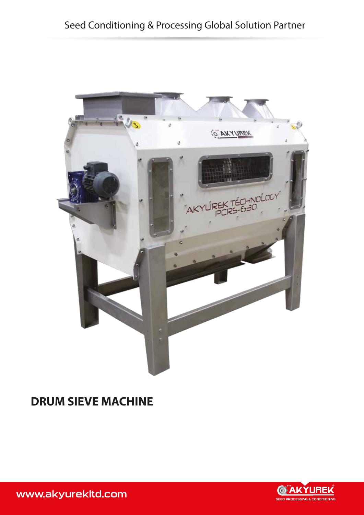

## **DRUM SIEVE MACHINE**



www.akyurekltd.com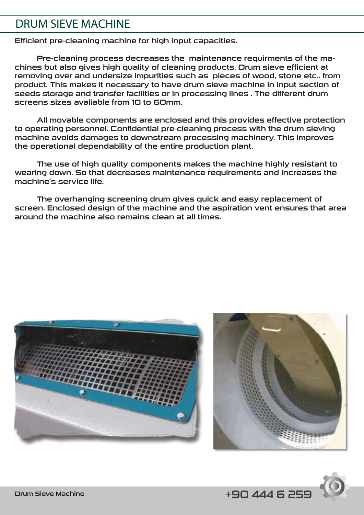### DRUM SIEVE MACHINE

Efficient pre-cleaning machine for high input capacities.

 Pre-cleaning process decreases the maintenance requirments of the machines but also gives high quality of cleaning products. Drum sieve efficient at removing over and undersize impurities such as pieces of wood, stone etc.. from product. This makes it necessary to have drum sieve machine in input section of seeds storage and transfer facilities or in processing lines . The different drum screens sizes avaliable from 10 to 60mm.

 All movable components are enclosed and this provides effective protection to operating personnel. Confidential pre-cleaning process with the drum sieving machine avoids damages to downstream processing machinery. This improves the operational dependability of the entire production plant.

 The use of high quality components makes the machine highly resistant to wearing down. So that decreases maintenance requirements and increases the machine's service life.

 The overhanging screening drum gives quick and easy replacement of screen. Enclosed design of the machine and the aspiration vent ensures that area around the machine also remains clean at all times.





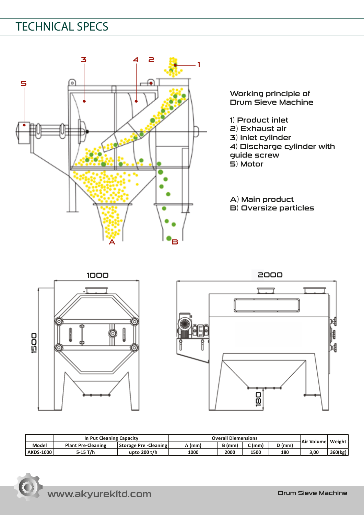# TECHNICAL SPECS



Working principle of Drum Sieve Machine

- 1) Product inlet
- 2) Exhaust air
- 3) Inlet cylinder
- 4) Discharge cylinder with
- guide screw
- 5) Motor

A) Main product

B) Oversize particles





|                  | In Put Cleaning Capacity  |                              | <b>Overall Diemensions</b> |      |      |        |                     |         |
|------------------|---------------------------|------------------------------|----------------------------|------|------|--------|---------------------|---------|
| Model            | <b>Plant Pre-Cleaning</b> | <b>Storage Pre -Cleaning</b> | (mm)                       | (mm  | (mm  | ้ (mm, | Air Volume   Weight |         |
| <b>AKDS-1000</b> | -15 T/h                   | upto 200 t/h                 | 1000                       | 2000 | 1500 | 180    | 3.00                | 360(kg) |